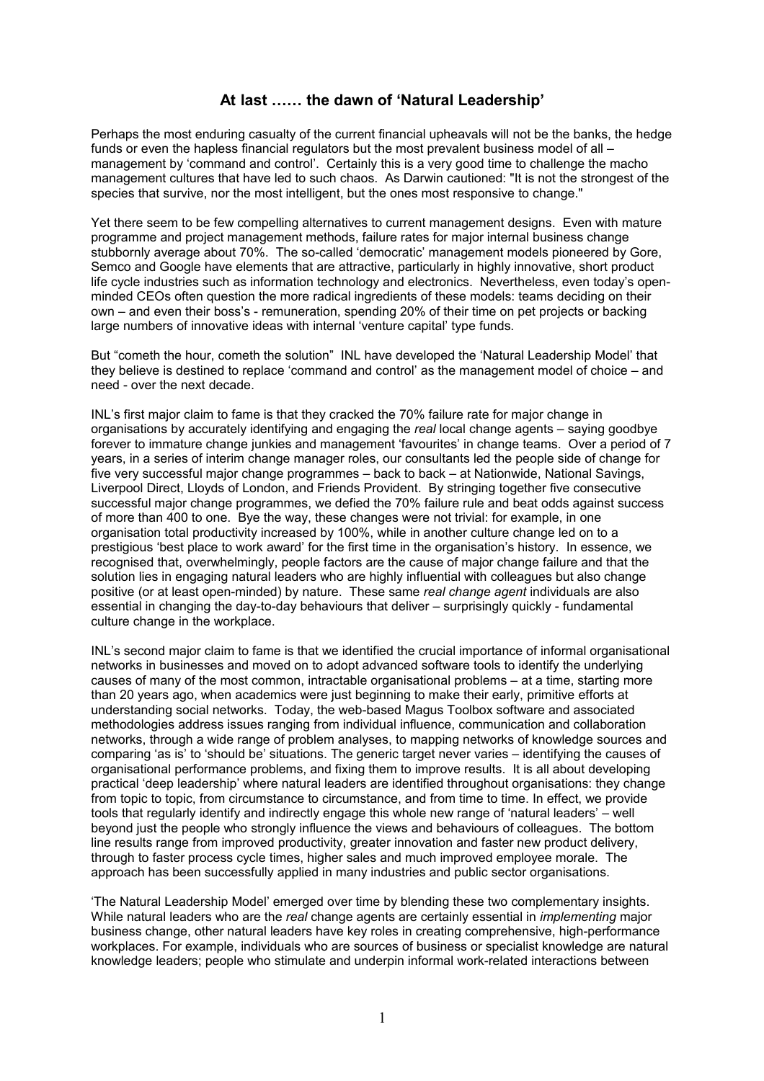## **At last …… the dawn of 'Natural Leadership'**

Perhaps the most enduring casualty of the current financial upheavals will not be the banks, the hedge funds or even the hapless financial regulators but the most prevalent business model of all – management by 'command and control'. Certainly this is a very good time to challenge the macho management cultures that have led to such chaos. As Darwin cautioned: "It is not the strongest of the species that survive, nor the most intelligent, but the ones most responsive to change."

Yet there seem to be few compelling alternatives to current management designs. Even with mature programme and project management methods, failure rates for major internal business change stubbornly average about 70%. The so-called 'democratic' management models pioneered by Gore, Semco and Google have elements that are attractive, particularly in highly innovative, short product life cycle industries such as information technology and electronics. Nevertheless, even today's openminded CEOs often question the more radical ingredients of these models: teams deciding on their own – and even their boss's - remuneration, spending 20% of their time on pet projects or backing large numbers of innovative ideas with internal 'venture capital' type funds.

But "cometh the hour, cometh the solution" INL have developed the 'Natural Leadership Model' that they believe is destined to replace 'command and control' as the management model of choice – and need - over the next decade.

INL's first major claim to fame is that they cracked the 70% failure rate for major change in organisations by accurately identifying and engaging the *real* local change agents – saying goodbye forever to immature change junkies and management 'favourites' in change teams. Over a period of 7 years, in a series of interim change manager roles, our consultants led the people side of change for five very successful major change programmes – back to back – at Nationwide, National Savings, Liverpool Direct, Lloyds of London, and Friends Provident. By stringing together five consecutive successful major change programmes, we defied the 70% failure rule and beat odds against success of more than 400 to one. Bye the way, these changes were not trivial: for example, in one organisation total productivity increased by 100%, while in another culture change led on to a prestigious 'best place to work award' for the first time in the organisation's history. In essence, we recognised that, overwhelmingly, people factors are the cause of major change failure and that the solution lies in engaging natural leaders who are highly influential with colleagues but also change positive (or at least open-minded) by nature. These same *real change agent* individuals are also essential in changing the day-to-day behaviours that deliver – surprisingly quickly - fundamental culture change in the workplace.

INL's second major claim to fame is that we identified the crucial importance of informal organisational networks in businesses and moved on to adopt advanced software tools to identify the underlying causes of many of the most common, intractable organisational problems – at a time, starting more than 20 years ago, when academics were just beginning to make their early, primitive efforts at understanding social networks. Today, the web-based Magus Toolbox software and associated methodologies address issues ranging from individual influence, communication and collaboration networks, through a wide range of problem analyses, to mapping networks of knowledge sources and comparing 'as is' to 'should be' situations. The generic target never varies – identifying the causes of organisational performance problems, and fixing them to improve results. It is all about developing practical 'deep leadership' where natural leaders are identified throughout organisations: they change from topic to topic, from circumstance to circumstance, and from time to time. In effect, we provide tools that regularly identify and indirectly engage this whole new range of 'natural leaders' – well beyond just the people who strongly influence the views and behaviours of colleagues. The bottom line results range from improved productivity, greater innovation and faster new product delivery, through to faster process cycle times, higher sales and much improved employee morale. The approach has been successfully applied in many industries and public sector organisations.

'The Natural Leadership Model' emerged over time by blending these two complementary insights. While natural leaders who are the *real* change agents are certainly essential in *implementing* major business change, other natural leaders have key roles in creating comprehensive, high-performance workplaces. For example, individuals who are sources of business or specialist knowledge are natural knowledge leaders; people who stimulate and underpin informal work-related interactions between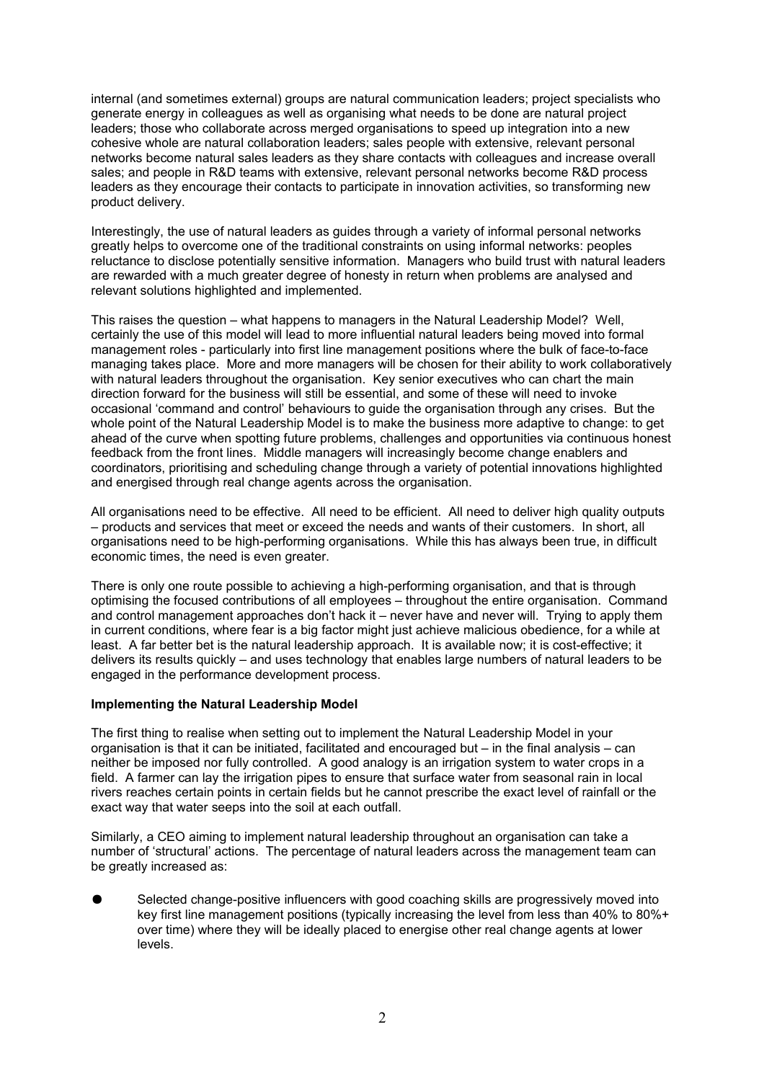internal (and sometimes external) groups are natural communication leaders; project specialists who generate energy in colleagues as well as organising what needs to be done are natural project leaders; those who collaborate across merged organisations to speed up integration into a new cohesive whole are natural collaboration leaders; sales people with extensive, relevant personal networks become natural sales leaders as they share contacts with colleagues and increase overall sales; and people in R&D teams with extensive, relevant personal networks become R&D process leaders as they encourage their contacts to participate in innovation activities, so transforming new product delivery.

Interestingly, the use of natural leaders as guides through a variety of informal personal networks greatly helps to overcome one of the traditional constraints on using informal networks: peoples reluctance to disclose potentially sensitive information. Managers who build trust with natural leaders are rewarded with a much greater degree of honesty in return when problems are analysed and relevant solutions highlighted and implemented.

This raises the question – what happens to managers in the Natural Leadership Model? Well, certainly the use of this model will lead to more influential natural leaders being moved into formal management roles - particularly into first line management positions where the bulk of face-to-face managing takes place. More and more managers will be chosen for their ability to work collaboratively with natural leaders throughout the organisation. Key senior executives who can chart the main direction forward for the business will still be essential, and some of these will need to invoke occasional 'command and control' behaviours to guide the organisation through any crises. But the whole point of the Natural Leadership Model is to make the business more adaptive to change: to get ahead of the curve when spotting future problems, challenges and opportunities via continuous honest feedback from the front lines. Middle managers will increasingly become change enablers and coordinators, prioritising and scheduling change through a variety of potential innovations highlighted and energised through real change agents across the organisation.

All organisations need to be effective. All need to be efficient. All need to deliver high quality outputs – products and services that meet or exceed the needs and wants of their customers. In short, all organisations need to be high-performing organisations. While this has always been true, in difficult economic times, the need is even greater.

There is only one route possible to achieving a high-performing organisation, and that is through optimising the focused contributions of all employees – throughout the entire organisation. Command and control management approaches don't hack it – never have and never will. Trying to apply them in current conditions, where fear is a big factor might just achieve malicious obedience, for a while at least. A far better bet is the natural leadership approach. It is available now; it is cost-effective; it delivers its results quickly – and uses technology that enables large numbers of natural leaders to be engaged in the performance development process.

## **Implementing the Natural Leadership Model**

The first thing to realise when setting out to implement the Natural Leadership Model in your organisation is that it can be initiated, facilitated and encouraged but – in the final analysis – can neither be imposed nor fully controlled. A good analogy is an irrigation system to water crops in a field. A farmer can lay the irrigation pipes to ensure that surface water from seasonal rain in local rivers reaches certain points in certain fields but he cannot prescribe the exact level of rainfall or the exact way that water seeps into the soil at each outfall.

Similarly, a CEO aiming to implement natural leadership throughout an organisation can take a number of 'structural' actions. The percentage of natural leaders across the management team can be greatly increased as:

Selected change-positive influencers with good coaching skills are progressively moved into key first line management positions (typically increasing the level from less than 40% to 80%+ over time) where they will be ideally placed to energise other real change agents at lower levels.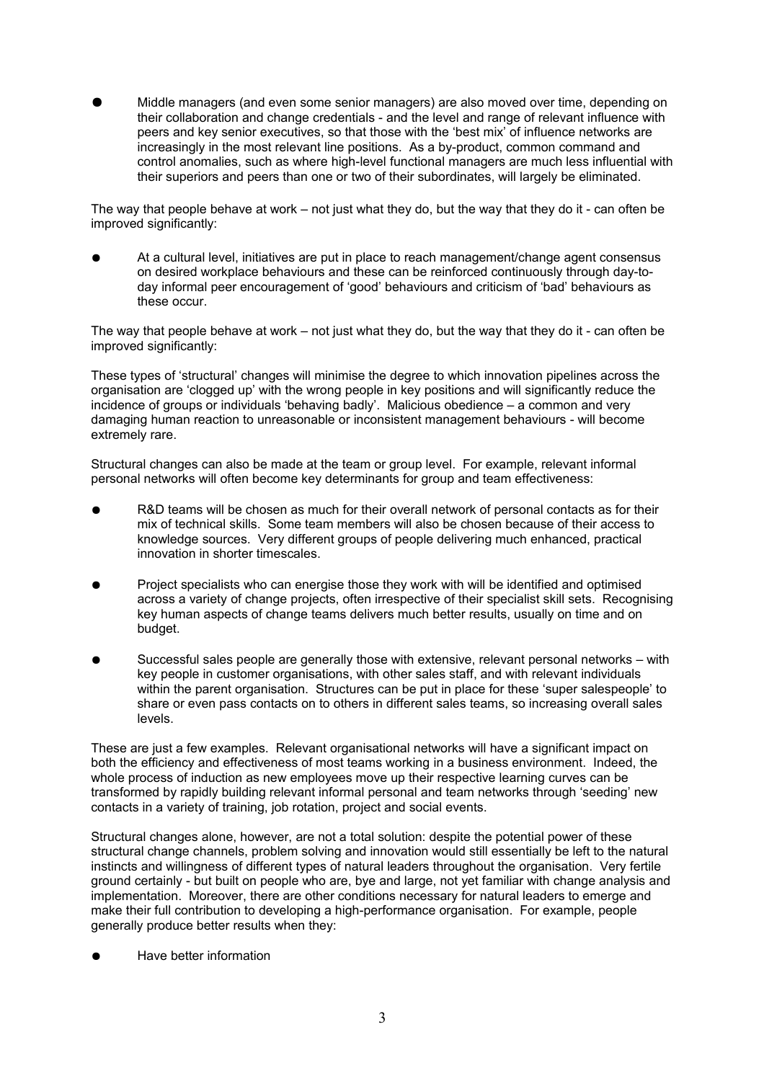Middle managers (and even some senior managers) are also moved over time, depending on their collaboration and change credentials - and the level and range of relevant influence with peers and key senior executives, so that those with the 'best mix' of influence networks are increasingly in the most relevant line positions. As a by-product, common command and control anomalies, such as where high-level functional managers are much less influential with their superiors and peers than one or two of their subordinates, will largely be eliminated.

The way that people behave at work – not just what they do, but the way that they do it - can often be improved significantly:

At a cultural level, initiatives are put in place to reach management/change agent consensus on desired workplace behaviours and these can be reinforced continuously through day-today informal peer encouragement of 'good' behaviours and criticism of 'bad' behaviours as these occur.

The way that people behave at work – not just what they do, but the way that they do it - can often be improved significantly:

These types of 'structural' changes will minimise the degree to which innovation pipelines across the organisation are 'clogged up' with the wrong people in key positions and will significantly reduce the incidence of groups or individuals 'behaving badly'. Malicious obedience – a common and very damaging human reaction to unreasonable or inconsistent management behaviours - will become extremely rare.

Structural changes can also be made at the team or group level. For example, relevant informal personal networks will often become key determinants for group and team effectiveness:

- R&D teams will be chosen as much for their overall network of personal contacts as for their mix of technical skills. Some team members will also be chosen because of their access to knowledge sources. Very different groups of people delivering much enhanced, practical innovation in shorter timescales.
- Project specialists who can energise those they work with will be identified and optimised across a variety of change projects, often irrespective of their specialist skill sets. Recognising key human aspects of change teams delivers much better results, usually on time and on budget.
- Successful sales people are generally those with extensive, relevant personal networks with key people in customer organisations, with other sales staff, and with relevant individuals within the parent organisation. Structures can be put in place for these 'super salespeople' to share or even pass contacts on to others in different sales teams, so increasing overall sales levels.

These are just a few examples. Relevant organisational networks will have a significant impact on both the efficiency and effectiveness of most teams working in a business environment. Indeed, the whole process of induction as new employees move up their respective learning curves can be transformed by rapidly building relevant informal personal and team networks through 'seeding' new contacts in a variety of training, job rotation, project and social events.

Structural changes alone, however, are not a total solution: despite the potential power of these structural change channels, problem solving and innovation would still essentially be left to the natural instincts and willingness of different types of natural leaders throughout the organisation. Very fertile ground certainly - but built on people who are, bye and large, not yet familiar with change analysis and implementation. Moreover, there are other conditions necessary for natural leaders to emerge and make their full contribution to developing a high-performance organisation. For example, people generally produce better results when they:

Have better information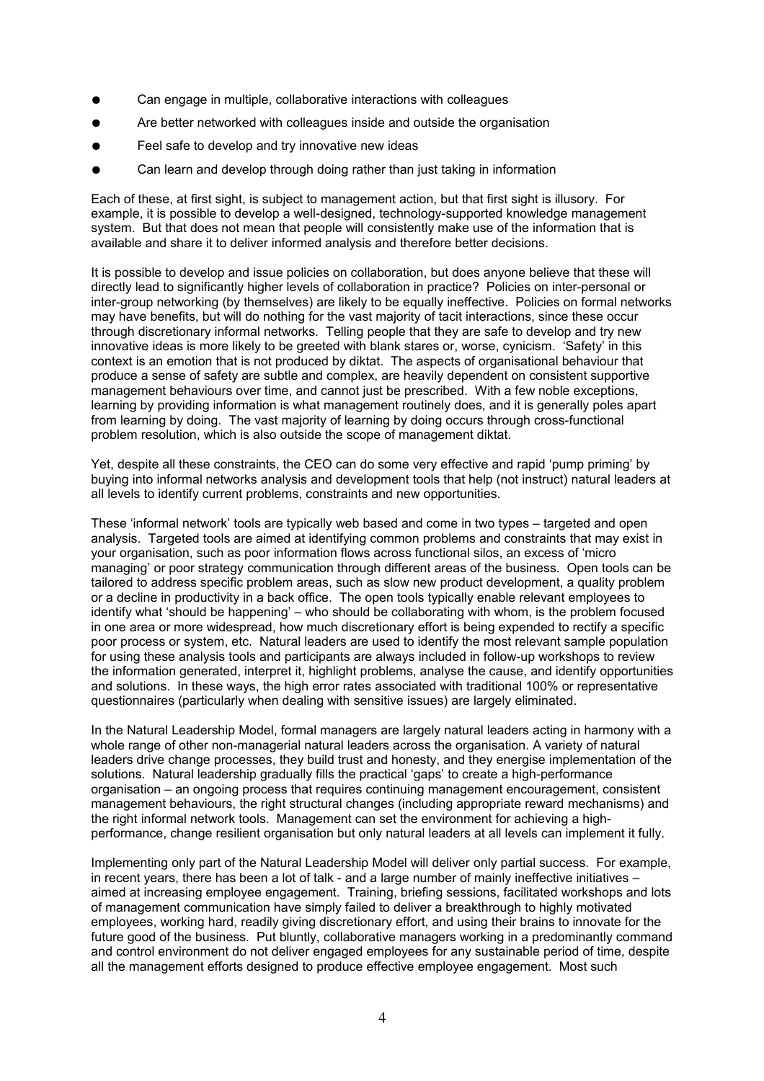- Can engage in multiple, collaborative interactions with colleagues
- Are better networked with colleagues inside and outside the organisation
- Feel safe to develop and try innovative new ideas
- Can learn and develop through doing rather than just taking in information

Each of these, at first sight, is subject to management action, but that first sight is illusory. For example, it is possible to develop a well-designed, technology-supported knowledge management system. But that does not mean that people will consistently make use of the information that is available and share it to deliver informed analysis and therefore better decisions.

It is possible to develop and issue policies on collaboration, but does anyone believe that these will directly lead to significantly higher levels of collaboration in practice? Policies on inter-personal or inter-group networking (by themselves) are likely to be equally ineffective. Policies on formal networks may have benefits, but will do nothing for the vast majority of tacit interactions, since these occur through discretionary informal networks. Telling people that they are safe to develop and try new innovative ideas is more likely to be greeted with blank stares or, worse, cynicism. 'Safety' in this context is an emotion that is not produced by diktat. The aspects of organisational behaviour that produce a sense of safety are subtle and complex, are heavily dependent on consistent supportive management behaviours over time, and cannot just be prescribed. With a few noble exceptions, learning by providing information is what management routinely does, and it is generally poles apart from learning by doing. The vast majority of learning by doing occurs through cross-functional problem resolution, which is also outside the scope of management diktat.

Yet, despite all these constraints, the CEO can do some very effective and rapid 'pump priming' by buying into informal networks analysis and development tools that help (not instruct) natural leaders at all levels to identify current problems, constraints and new opportunities.

These 'informal network' tools are typically web based and come in two types – targeted and open analysis. Targeted tools are aimed at identifying common problems and constraints that may exist in your organisation, such as poor information flows across functional silos, an excess of 'micro managing' or poor strategy communication through different areas of the business. Open tools can be tailored to address specific problem areas, such as slow new product development, a quality problem or a decline in productivity in a back office. The open tools typically enable relevant employees to identify what 'should be happening' – who should be collaborating with whom, is the problem focused in one area or more widespread, how much discretionary effort is being expended to rectify a specific poor process or system, etc. Natural leaders are used to identify the most relevant sample population for using these analysis tools and participants are always included in follow-up workshops to review the information generated, interpret it, highlight problems, analyse the cause, and identify opportunities and solutions. In these ways, the high error rates associated with traditional 100% or representative questionnaires (particularly when dealing with sensitive issues) are largely eliminated.

In the Natural Leadership Model, formal managers are largely natural leaders acting in harmony with a whole range of other non-managerial natural leaders across the organisation. A variety of natural leaders drive change processes, they build trust and honesty, and they energise implementation of the solutions. Natural leadership gradually fills the practical 'gaps' to create a high-performance organisation – an ongoing process that requires continuing management encouragement, consistent management behaviours, the right structural changes (including appropriate reward mechanisms) and the right informal network tools. Management can set the environment for achieving a highperformance, change resilient organisation but only natural leaders at all levels can implement it fully.

Implementing only part of the Natural Leadership Model will deliver only partial success. For example, in recent years, there has been a lot of talk - and a large number of mainly ineffective initiatives – aimed at increasing employee engagement. Training, briefing sessions, facilitated workshops and lots of management communication have simply failed to deliver a breakthrough to highly motivated employees, working hard, readily giving discretionary effort, and using their brains to innovate for the future good of the business. Put bluntly, collaborative managers working in a predominantly command and control environment do not deliver engaged employees for any sustainable period of time, despite all the management efforts designed to produce effective employee engagement. Most such